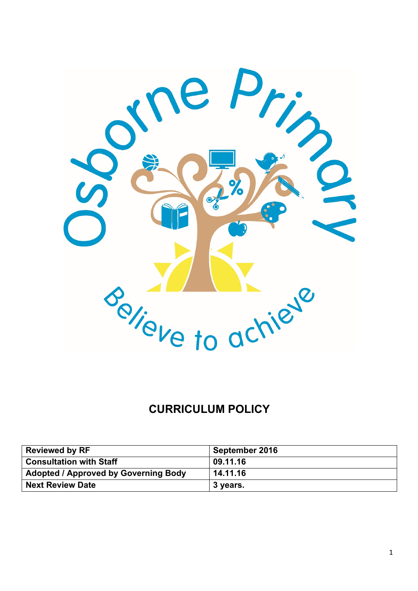

# **CURRICULUM POLICY**

| <b>Reviewed by RF</b>                       | September 2016 |
|---------------------------------------------|----------------|
| <b>Consultation with Staff</b>              | 09.11.16       |
| <b>Adopted / Approved by Governing Body</b> | 14.11.16       |
| <b>Next Review Date</b>                     | ∪ 3 years.     |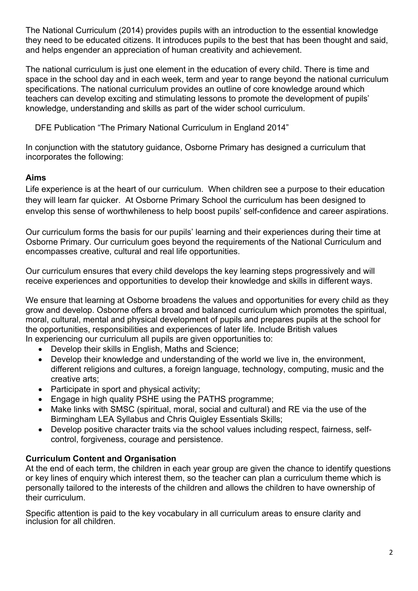The National Curriculum (2014) provides pupils with an introduction to the essential knowledge they need to be educated citizens. It introduces pupils to the best that has been thought and said, and helps engender an appreciation of human creativity and achievement.

The national curriculum is just one element in the education of every child. There is time and space in the school day and in each week, term and year to range beyond the national curriculum specifications. The national curriculum provides an outline of core knowledge around which teachers can develop exciting and stimulating lessons to promote the development of pupils' knowledge, understanding and skills as part of the wider school curriculum.

DFE Publication "The Primary National Curriculum in England 2014"

In conjunction with the statutory guidance, Osborne Primary has designed a curriculum that incorporates the following:

## **Aims**

Life experience is at the heart of our curriculum. When children see a purpose to their education they will learn far quicker. At Osborne Primary School the curriculum has been designed to envelop this sense of worthwhileness to help boost pupils' self-confidence and career aspirations.

Our curriculum forms the basis for our pupils' learning and their experiences during their time at Osborne Primary. Our curriculum goes beyond the requirements of the National Curriculum and encompasses creative, cultural and real life opportunities.

Our curriculum ensures that every child develops the key learning steps progressively and will receive experiences and opportunities to develop their knowledge and skills in different ways.

We ensure that learning at Osborne broadens the values and opportunities for every child as they grow and develop. Osborne offers a broad and balanced curriculum which promotes the spiritual, moral, cultural, mental and physical development of pupils and prepares pupils at the school for the opportunities, responsibilities and experiences of later life. Include British values In experiencing our curriculum all pupils are given opportunities to:

- Develop their skills in English, Maths and Science;
- Develop their knowledge and understanding of the world we live in, the environment, different religions and cultures, a foreign language, technology, computing, music and the creative arts;
- Participate in sport and physical activity;
- Engage in high quality PSHE using the PATHS programme;
- Make links with SMSC (spiritual, moral, social and cultural) and RE via the use of the Birmingham LEA Syllabus and Chris Quigley Essentials Skills;
- Develop positive character traits via the school values including respect, fairness, selfcontrol, forgiveness, courage and persistence.

## **Curriculum Content and Organisation**

At the end of each term, the children in each year group are given the chance to identify questions or key lines of enquiry which interest them, so the teacher can plan a curriculum theme which is personally tailored to the interests of the children and allows the children to have ownership of their curriculum.

Specific attention is paid to the key vocabulary in all curriculum areas to ensure clarity and inclusion for all children.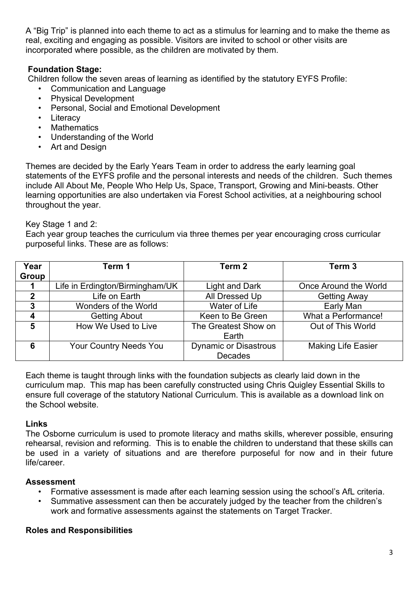A "Big Trip" is planned into each theme to act as a stimulus for learning and to make the theme as real, exciting and engaging as possible. Visitors are invited to school or other visits are incorporated where possible, as the children are motivated by them.

## **Foundation Stage:**

Children follow the seven areas of learning as identified by the statutory EYFS Profile:

- Communication and Language
- Physical Development
- Personal, Social and Emotional Development
- Literacy
- Mathematics
- Understanding of the World
- Art and Design

Themes are decided by the Early Years Team in order to address the early learning goal statements of the EYFS profile and the personal interests and needs of the children. Such themes include All About Me, People Who Help Us, Space, Transport, Growing and Mini-beasts. Other learning opportunities are also undertaken via Forest School activities, at a neighbouring school throughout the year.

#### Key Stage 1 and 2:

Each year group teaches the curriculum via three themes per year encouraging cross curricular purposeful links. These are as follows:

| Year         | Term 1                          | Term <sub>2</sub>            | Term 3                    |
|--------------|---------------------------------|------------------------------|---------------------------|
| Group        |                                 |                              |                           |
|              | Life in Erdington/Birmingham/UK | <b>Light and Dark</b>        | Once Around the World     |
| $\mathbf{2}$ | Life on Earth                   | All Dressed Up               | <b>Getting Away</b>       |
| 3            | Wonders of the World            | Water of Life                | Early Man                 |
| 4            | <b>Getting About</b>            | Keen to Be Green             | What a Performance!       |
| 5            | How We Used to Live             | The Greatest Show on         | Out of This World         |
|              |                                 | Earth                        |                           |
| 6            | <b>Your Country Needs You</b>   | <b>Dynamic or Disastrous</b> | <b>Making Life Easier</b> |
|              |                                 | <b>Decades</b>               |                           |

Each theme is taught through links with the foundation subjects as clearly laid down in the curriculum map. This map has been carefully constructed using Chris Quigley Essential Skills to ensure full coverage of the statutory National Curriculum. This is available as a download link on the School website.

#### **Links**

The Osborne curriculum is used to promote literacy and maths skills, wherever possible, ensuring rehearsal, revision and reforming. This is to enable the children to understand that these skills can be used in a variety of situations and are therefore purposeful for now and in their future life/career.

#### **Assessment**

- Formative assessment is made after each learning session using the school's AfL criteria.
- Summative assessment can then be accurately judged by the teacher from the children's work and formative assessments against the statements on Target Tracker.

#### **Roles and Responsibilities**